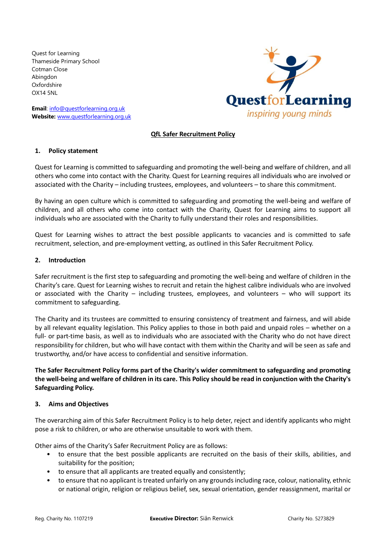Quest for Learning Thameside Primary School Cotman Close Abingdon Oxfordshire OX14 5NL

**Email**: [info@questforlearning.org.uk](mailto:info@questforlearning.org.uk) **Website:** [www.questforlearning.org.uk](http://www.questforlearning.org.uk/)



# **QfL Safer Recruitment Policy**

#### **1. Policy statement**

Quest for Learning is committed to safeguarding and promoting the well-being and welfare of children, and all others who come into contact with the Charity. Quest for Learning requires all individuals who are involved or associated with the Charity – including trustees, employees, and volunteers – to share this commitment.

By having an open culture which is committed to safeguarding and promoting the well-being and welfare of children, and all others who come into contact with the Charity, Quest for Learning aims to support all individuals who are associated with the Charity to fully understand their roles and responsibilities.

Quest for Learning wishes to attract the best possible applicants to vacancies and is committed to safe recruitment, selection, and pre-employment vetting, as outlined in this Safer Recruitment Policy.

#### **2. Introduction**

Safer recruitment is the first step to safeguarding and promoting the well-being and welfare of children in the Charity's care. Quest for Learning wishes to recruit and retain the highest calibre individuals who are involved or associated with the Charity – including trustees, employees, and volunteers – who will support its commitment to safeguarding.

The Charity and its trustees are committed to ensuring consistency of treatment and fairness, and will abide by all relevant equality legislation. This Policy applies to those in both paid and unpaid roles – whether on a full- or part-time basis, as well as to individuals who are associated with the Charity who do not have direct responsibility for children, but who will have contact with them within the Charity and will be seen as safe and trustworthy, and/or have access to confidential and sensitive information.

**The Safer Recruitment Policy forms part of the Charity's wider commitment to safeguarding and promoting the well-being and welfare of children in its care. This Policy should be read in conjunction with the Charity's Safeguarding Policy.**

#### **3. Aims and Objectives**

The overarching aim of this Safer Recruitment Policy is to help deter, reject and identify applicants who might pose a risk to children, or who are otherwise unsuitable to work with them.

Other aims of the Charity's Safer Recruitment Policy are as follows:

- to ensure that the best possible applicants are recruited on the basis of their skills, abilities, and suitability for the position;
- to ensure that all applicants are treated equally and consistently;
- to ensure that no applicant is treated unfairly on any grounds including race, colour, nationality, ethnic or national origin, religion or religious belief, sex, sexual orientation, gender reassignment, marital or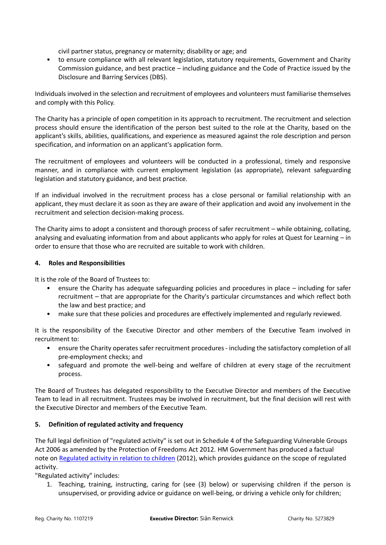civil partner status, pregnancy or maternity; disability or age; and

• to ensure compliance with all relevant legislation, statutory requirements, Government and Charity Commission guidance, and best practice – including guidance and the Code of Practice issued by the Disclosure and Barring Services (DBS).

Individuals involved in the selection and recruitment of employees and volunteers must familiarise themselves and comply with this Policy.

The Charity has a principle of open competition in its approach to recruitment. The recruitment and selection process should ensure the identification of the person best suited to the role at the Charity, based on the applicant's skills, abilities, qualifications, and experience as measured against the role description and person specification, and information on an applicant's application form.

The recruitment of employees and volunteers will be conducted in a professional, timely and responsive manner, and in compliance with current employment legislation (as appropriate), relevant safeguarding legislation and statutory guidance, and best practice.

If an individual involved in the recruitment process has a close personal or familial relationship with an applicant, they must declare it as soon as they are aware of their application and avoid any involvement in the recruitment and selection decision-making process.

The Charity aims to adopt a consistent and thorough process of safer recruitment – while obtaining, collating, analysing and evaluating information from and about applicants who apply for roles at Quest for Learning – in order to ensure that those who are recruited are suitable to work with children.

## **4. Roles and Responsibilities**

It is the role of the Board of Trustees to:

- ensure the Charity has adequate safeguarding policies and procedures in place including for safer recruitment – that are appropriate for the Charity's particular circumstances and which reflect both the law and best practice; and
- make sure that these policies and procedures are effectively implemented and regularly reviewed.

It is the responsibility of the Executive Director and other members of the Executive Team involved in recruitment to:

- ensure the Charity operates safer recruitment procedures including the satisfactory completion of all pre-employment checks; and
- safeguard and promote the well-being and welfare of children at every stage of the recruitment process.

The Board of Trustees has delegated responsibility to the Executive Director and members of the Executive Team to lead in all recruitment. Trustees may be involved in recruitment, but the final decision will rest with the Executive Director and members of the Executive Team.

## **5. Definition of regulated activity and frequency**

The full legal definition of "regulated activity" is set out in Schedule 4 of the Safeguarding Vulnerable Groups Act 2006 as amended by the Protection of Freedoms Act 2012. HM Government has produced a factual note on [Regulated activity in relation to children](https://www.gov.uk/government/uploads/system/uploads/attachment_data/file/550197/Regulated_activity_in_relation_to_children.pdf) (2012), which provides guidance on the scope of regulated activity.

"Regulated activity" includes:

1. Teaching, training, instructing, caring for (see (3) below) or supervising children if the person is unsupervised, or providing advice or guidance on well-being, or driving a vehicle only for children;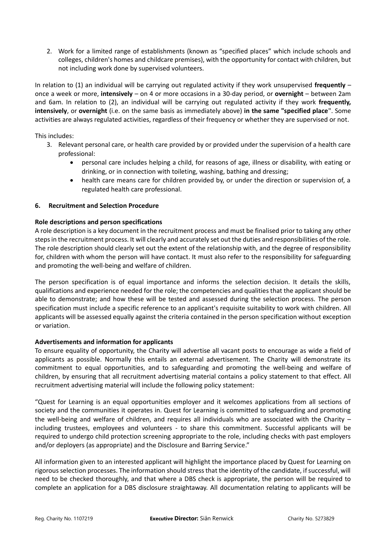2. Work for a limited range of establishments (known as "specified places" which include schools and colleges, children's homes and childcare premises), with the opportunity for contact with children, but not including work done by supervised volunteers.

In relation to (1) an individual will be carrying out regulated activity if they work unsupervised **frequently** – once a week or more, **intensively** – on 4 or more occasions in a 30-day period, or **overnight** – between 2am and 6am. In relation to (2), an individual will be carrying out regulated activity if they work **frequently, intensively**, or **overnight** (i.e. on the same basis as immediately above) **in the same "specified place**". Some activities are always regulated activities, regardless of their frequency or whether they are supervised or not.

This includes:

- 3. Relevant personal care, or health care provided by or provided under the supervision of a health care professional:
	- personal care includes helping a child, for reasons of age, illness or disability, with eating or drinking, or in connection with toileting, washing, bathing and dressing;
	- health care means care for children provided by, or under the direction or supervision of, a regulated health care professional.

# **6. Recruitment and Selection Procedure**

# **Role descriptions and person specifications**

A role description is a key document in the recruitment process and must be finalised prior to taking any other steps in the recruitment process. It will clearly and accurately set out the duties and responsibilities of the role. The role description should clearly set out the extent of the relationship with, and the degree of responsibility for, children with whom the person will have contact. It must also refer to the responsibility for safeguarding and promoting the well-being and welfare of children.

The person specification is of equal importance and informs the selection decision. It details the skills, qualifications and experience needed for the role; the competencies and qualities that the applicant should be able to demonstrate; and how these will be tested and assessed during the selection process. The person specification must include a specific reference to an applicant's requisite suitability to work with children. All applicants will be assessed equally against the criteria contained in the person specification without exception or variation.

## **Advertisements and information for applicants**

To ensure equality of opportunity, the Charity will advertise all vacant posts to encourage as wide a field of applicants as possible. Normally this entails an external advertisement. The Charity will demonstrate its commitment to equal opportunities, and to safeguarding and promoting the well-being and welfare of children, by ensuring that all recruitment advertising material contains a policy statement to that effect. All recruitment advertising material will include the following policy statement:

"Quest for Learning is an equal opportunities employer and it welcomes applications from all sections of society and the communities it operates in. Quest for Learning is committed to safeguarding and promoting the well-being and welfare of children, and requires all individuals who are associated with the Charity – including trustees, employees and volunteers - to share this commitment. Successful applicants will be required to undergo child protection screening appropriate to the role, including checks with past employers and/or deployers (as appropriate) and the Disclosure and Barring Service."

All information given to an interested applicant will highlight the importance placed by Quest for Learning on rigorous selection processes. The information should stress that the identity of the candidate, if successful, will need to be checked thoroughly, and that where a DBS check is appropriate, the person will be required to complete an application for a DBS disclosure straightaway. All documentation relating to applicants will be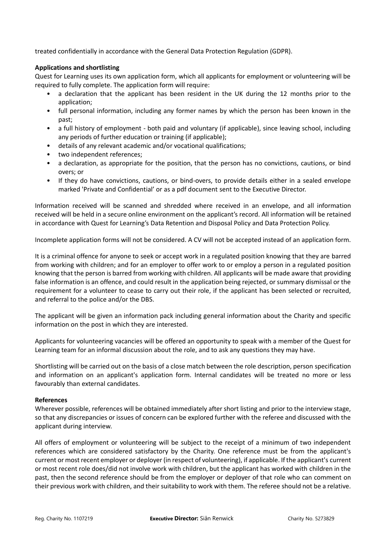treated confidentially in accordance with the General Data Protection Regulation (GDPR).

## **Applications and shortlisting**

Quest for Learning uses its own application form, which all applicants for employment or volunteering will be required to fully complete. The application form will require:

- a declaration that the applicant has been resident in the UK during the 12 months prior to the application;
- full personal information, including any former names by which the person has been known in the past;
- a full history of employment both paid and voluntary (if applicable), since leaving school, including any periods of further education or training (if applicable);
- details of any relevant academic and/or vocational qualifications;
- two independent references;
- a declaration, as appropriate for the position, that the person has no convictions, cautions, or bind overs; or
- If they do have convictions, cautions, or bind-overs, to provide details either in a sealed envelope marked 'Private and Confidential' or as a pdf document sent to the Executive Director.

Information received will be scanned and shredded where received in an envelope, and all information received will be held in a secure online environment on the applicant's record. All information will be retained in accordance with Quest for Learning's Data Retention and Disposal Policy and Data Protection Policy.

Incomplete application forms will not be considered. A CV will not be accepted instead of an application form.

It is a criminal offence for anyone to seek or accept work in a regulated position knowing that they are barred from working with children; and for an employer to offer work to or employ a person in a regulated position knowing that the person is barred from working with children. All applicants will be made aware that providing false information is an offence, and could result in the application being rejected, or summary dismissal or the requirement for a volunteer to cease to carry out their role, if the applicant has been selected or recruited, and referral to the police and/or the DBS.

The applicant will be given an information pack including general information about the Charity and specific information on the post in which they are interested.

Applicants for volunteering vacancies will be offered an opportunity to speak with a member of the Quest for Learning team for an informal discussion about the role, and to ask any questions they may have.

Shortlisting will be carried out on the basis of a close match between the role description, person specification and information on an applicant's application form. Internal candidates will be treated no more or less favourably than external candidates.

## **References**

Wherever possible, references will be obtained immediately after short listing and prior to the interview stage, so that any discrepancies or issues of concern can be explored further with the referee and discussed with the applicant during interview.

All offers of employment or volunteering will be subject to the receipt of a minimum of two independent references which are considered satisfactory by the Charity. One reference must be from the applicant's current or most recent employer or deployer (in respect of volunteering), if applicable. If the applicant's current or most recent role does/did not involve work with children, but the applicant has worked with children in the past, then the second reference should be from the employer or deployer of that role who can comment on their previous work with children, and their suitability to work with them. The referee should not be a relative.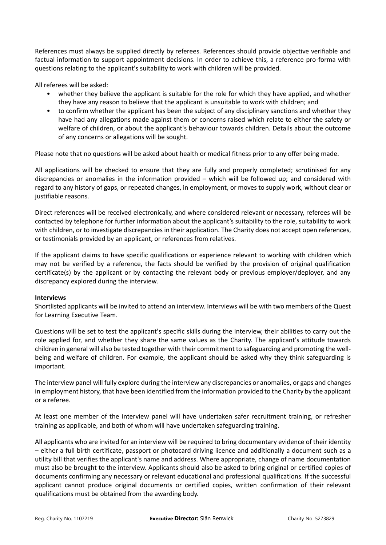References must always be supplied directly by referees. References should provide objective verifiable and factual information to support appointment decisions. In order to achieve this, a reference pro-forma with questions relating to the applicant's suitability to work with children will be provided.

All referees will be asked:

- whether they believe the applicant is suitable for the role for which they have applied, and whether they have any reason to believe that the applicant is unsuitable to work with children; and
- to confirm whether the applicant has been the subject of any disciplinary sanctions and whether they have had any allegations made against them or concerns raised which relate to either the safety or welfare of children, or about the applicant's behaviour towards children. Details about the outcome of any concerns or allegations will be sought.

Please note that no questions will be asked about health or medical fitness prior to any offer being made.

All applications will be checked to ensure that they are fully and properly completed; scrutinised for any discrepancies or anomalies in the information provided – which will be followed up; and considered with regard to any history of gaps, or repeated changes, in employment, or moves to supply work, without clear or justifiable reasons.

Direct references will be received electronically, and where considered relevant or necessary, referees will be contacted by telephone for further information about the applicant's suitability to the role, suitability to work with children, or to investigate discrepancies in their application. The Charity does not accept open references, or testimonials provided by an applicant, or references from relatives.

If the applicant claims to have specific qualifications or experience relevant to working with children which may not be verified by a reference, the facts should be verified by the provision of original qualification certificate(s) by the applicant or by contacting the relevant body or previous employer/deployer, and any discrepancy explored during the interview.

## **Interviews**

Shortlisted applicants will be invited to attend an interview. Interviews will be with two members of the Quest for Learning Executive Team.

Questions will be set to test the applicant's specific skills during the interview, their abilities to carry out the role applied for, and whether they share the same values as the Charity. The applicant's attitude towards children in general will also be tested together with their commitment to safeguarding and promoting the wellbeing and welfare of children. For example, the applicant should be asked why they think safeguarding is important.

The interview panel will fully explore during the interview any discrepancies or anomalies, or gaps and changes in employment history, that have been identified from the information provided to the Charity by the applicant or a referee.

At least one member of the interview panel will have undertaken safer recruitment training, or refresher training as applicable, and both of whom will have undertaken safeguarding training.

All applicants who are invited for an interview will be required to bring documentary evidence of their identity – either a full birth certificate, passport or photocard driving licence and additionally a document such as a utility bill that verifies the applicant's name and address. Where appropriate, change of name documentation must also be brought to the interview. Applicants should also be asked to bring original or certified copies of documents confirming any necessary or relevant educational and professional qualifications. If the successful applicant cannot produce original documents or certified copies, written confirmation of their relevant qualifications must be obtained from the awarding body.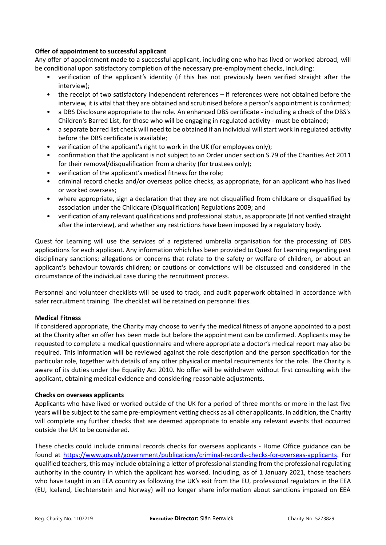## **Offer of appointment to successful applicant**

Any offer of appointment made to a successful applicant, including one who has lived or worked abroad, will be conditional upon satisfactory completion of the necessary pre-employment checks, including:

- verification of the applicant's identity (if this has not previously been verified straight after the interview);
- the receipt of two satisfactory independent references if references were not obtained before the interview, it is vital that they are obtained and scrutinised before a person's appointment is confirmed;
- a DBS Disclosure appropriate to the role. An enhanced DBS certificate including a check of the DBS's Children's Barred List, for those who will be engaging in regulated activity - must be obtained;
- a separate barred list check will need to be obtained if an individual will start work in regulated activity before the DBS certificate is available;
- verification of the applicant's right to work in the UK (for employees only);
- confirmation that the applicant is not subject to an Order under section S.79 of the Charities Act 2011 for their removal/disqualification from a charity (for trustees only);
- verification of the applicant's medical fitness for the role;
- criminal record checks and/or overseas police checks, as appropriate, for an applicant who has lived or worked overseas;
- where appropriate, sign a declaration that they are not disqualified from childcare or disqualified by association under the Childcare (Disqualification) Regulations 2009; and
- verification of any relevant qualifications and professional status, as appropriate (if not verified straight after the interview), and whether any restrictions have been imposed by a regulatory body.

Quest for Learning will use the services of a registered umbrella organisation for the processing of DBS applications for each applicant. Any information which has been provided to Quest for Learning regarding past disciplinary sanctions; allegations or concerns that relate to the safety or welfare of children, or about an applicant's behaviour towards children; or cautions or convictions will be discussed and considered in the circumstance of the individual case during the recruitment process.

Personnel and volunteer checklists will be used to track, and audit paperwork obtained in accordance with safer recruitment training. The checklist will be retained on personnel files.

## **Medical Fitness**

If considered appropriate, the Charity may choose to verify the medical fitness of anyone appointed to a post at the Charity after an offer has been made but before the appointment can be confirmed. Applicants may be requested to complete a medical questionnaire and where appropriate a doctor's medical report may also be required. This information will be reviewed against the role description and the person specification for the particular role, together with details of any other physical or mental requirements for the role. The Charity is aware of its duties under the Equality Act 2010. No offer will be withdrawn without first consulting with the applicant, obtaining medical evidence and considering reasonable adjustments.

## **Checks on overseas applicants**

Applicants who have lived or worked outside of the UK for a period of three months or more in the last five years will be subject to the same pre-employment vetting checks as all other applicants. In addition, the Charity will complete any further checks that are deemed appropriate to enable any relevant events that occurred outside the UK to be considered.

These checks could include criminal records checks for overseas applicants - Home Office guidance can be found at [https://www.gov.uk/government/publications/criminal-records-checks-for-overseas-applicants.](https://www.gov.uk/government/publications/criminal-records-checks-for-overseas-applicants) For qualified teachers, this may include obtaining a letter of professional standing from the professional regulating authority in the country in which the applicant has worked. Including, as of 1 January 2021, those teachers who have taught in an EEA country as following the UK's exit from the EU, professional regulators in the EEA (EU, Iceland, Liechtenstein and Norway) will no longer share information about sanctions imposed on EEA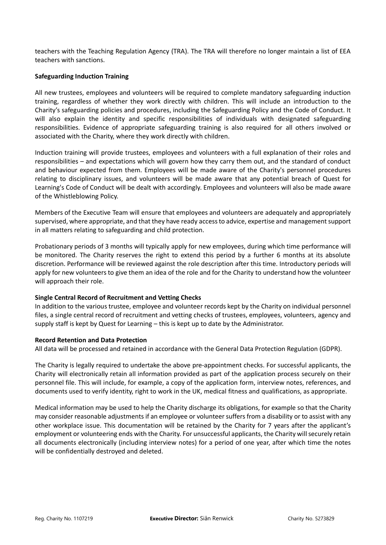teachers with the Teaching Regulation Agency (TRA). The TRA will therefore no longer maintain a list of EEA teachers with sanctions.

## **Safeguarding Induction Training**

All new trustees, employees and volunteers will be required to complete mandatory safeguarding induction training, regardless of whether they work directly with children. This will include an introduction to the Charity's safeguarding policies and procedures, including the Safeguarding Policy and the Code of Conduct. It will also explain the identity and specific responsibilities of individuals with designated safeguarding responsibilities. Evidence of appropriate safeguarding training is also required for all others involved or associated with the Charity, where they work directly with children.

Induction training will provide trustees, employees and volunteers with a full explanation of their roles and responsibilities – and expectations which will govern how they carry them out, and the standard of conduct and behaviour expected from them. Employees will be made aware of the Charity's personnel procedures relating to disciplinary issues, and volunteers will be made aware that any potential breach of Quest for Learning's Code of Conduct will be dealt with accordingly. Employees and volunteers will also be made aware of the Whistleblowing Policy.

Members of the Executive Team will ensure that employees and volunteers are adequately and appropriately supervised, where appropriate, and that they have ready access to advice, expertise and management support in all matters relating to safeguarding and child protection.

Probationary periods of 3 months will typically apply for new employees, during which time performance will be monitored. The Charity reserves the right to extend this period by a further 6 months at its absolute discretion. Performance will be reviewed against the role description after this time. Introductory periods will apply for new volunteers to give them an idea of the role and for the Charity to understand how the volunteer will approach their role.

## **Single Central Record of Recruitment and Vetting Checks**

In addition to the various trustee, employee and volunteer records kept by the Charity on individual personnel files, a single central record of recruitment and vetting checks of trustees, employees, volunteers, agency and supply staff is kept by Quest for Learning – this is kept up to date by the Administrator.

#### **Record Retention and Data Protection**

All data will be processed and retained in accordance with the General Data Protection Regulation (GDPR).

The Charity is legally required to undertake the above pre-appointment checks. For successful applicants, the Charity will electronically retain all information provided as part of the application process securely on their personnel file. This will include, for example, a copy of the application form, interview notes, references, and documents used to verify identity, right to work in the UK, medical fitness and qualifications, as appropriate.

Medical information may be used to help the Charity discharge its obligations, for example so that the Charity may consider reasonable adjustments if an employee or volunteer suffers from a disability or to assist with any other workplace issue. This documentation will be retained by the Charity for 7 years after the applicant's employment or volunteering ends with the Charity. For unsuccessful applicants, the Charity will securely retain all documents electronically (including interview notes) for a period of one year, after which time the notes will be confidentially destroyed and deleted.